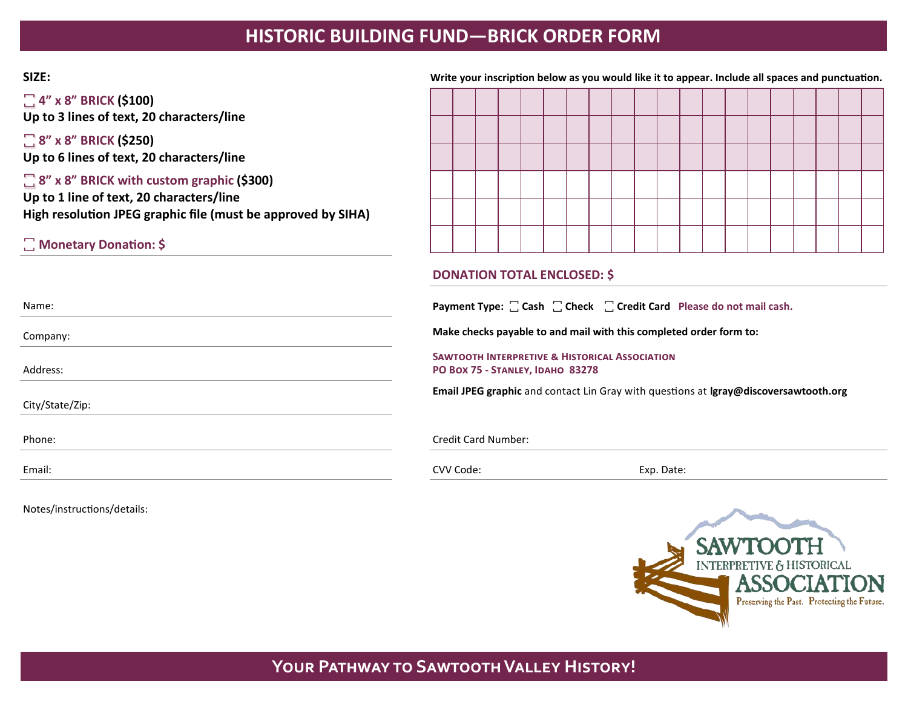# **HISTORIC BUILDING FUND—BRICK ORDER FORM**

### **SIZE: Write your inscription below as you would like it to appear. Include all spaces and punctuation.**

**꙱ 4" x 8" BRICK (\$100) Up to 3 lines of text, 20 characters/line**

**꙱ 8" x 8" BRICK (\$250) Up to 6 lines of text, 20 characters/line**

**꙱ 8" x 8" BRICK with custom graphic (\$300) Up to 1 line of text, 20 characters/line High resolution JPEG graphic file (must be approved by SIHA)**

**꙱ Monetary Donation: \$**

### **DONATION TOTAL ENCLOSED: \$**

Name: **Name: Payment Type:**  $\Box$  **Cash**  $\Box$  **Check**  $\Box$  **Credit Card Please do not mail cash.** 

Company: **Make checks payable to and mail with this completed order form to:**

**Sawtooth Interpretive & Historical Association PO Box 75 - Stanley, Idaho 83278**

**Email JPEG graphic** and contact Lin Gray with questions at **lgray@discoversawtooth.org**

Phone: Credit Card Number:

Email: CVV Code: Exp. Date:



## **Your Pathway to Sawtooth Valley History!**

Address:

City/State/Zip:

Notes/instructions/details: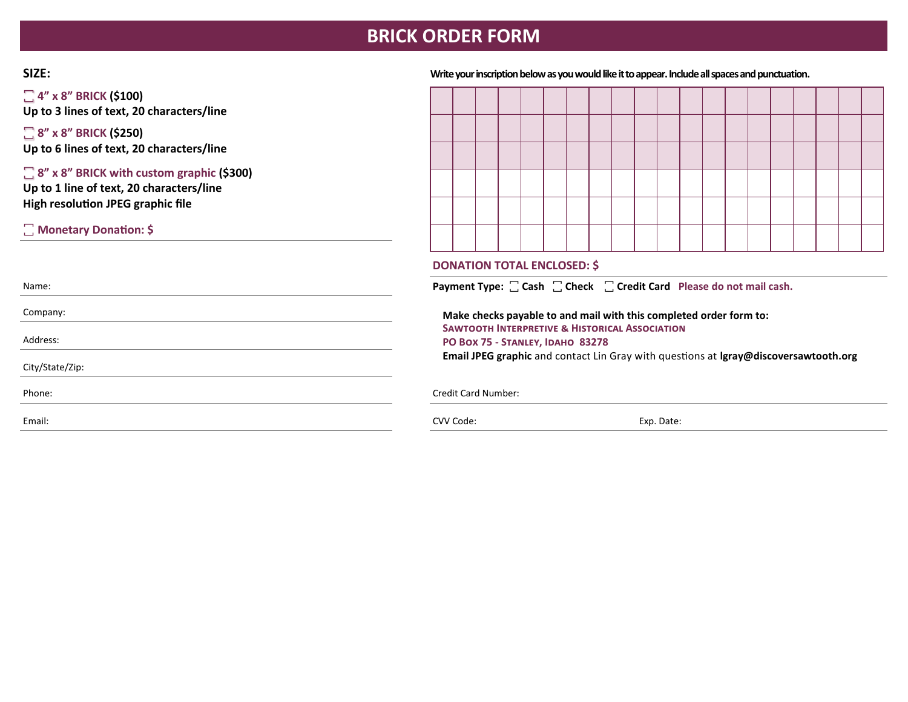# **BRICK ORDER FORM**

**꙱ 4" x 8" BRICK (\$100) Up to 3 lines of text, 20 characters/line**

**꙱ 8" x 8" BRICK (\$250) Up to 6 lines of text, 20 characters/line**

**꙱ 8" x 8" BRICK with custom graphic (\$300) Up to 1 line of text, 20 characters/line High resolution JPEG graphic file** 

**꙱ Monetary Donation: \$**

**SIZE: Write your inscription below as you would like it to appear. Include all spaces and punctuation.**

### **DONATION TOTAL ENCLOSED: \$**

Name: **Name: Payment Type:**  $\Box$  **Cash**  $\Box$  **Check**  $\Box$  **Credit Card Please do not mail cash.** 

Company: **Make checks payable to and mail with this completed order form to: Sawtooth Interpretive & Historical Association PO Box 75 - Stanley, Idaho 83278 Email JPEG graphic** and contact Lin Gray with questions at **lgray@discoversawtooth.org**

Phone: Credit Card Number: Credit Card Number:

Email: CVV Code: Exp. Date:

Address:

City/State/Zip: